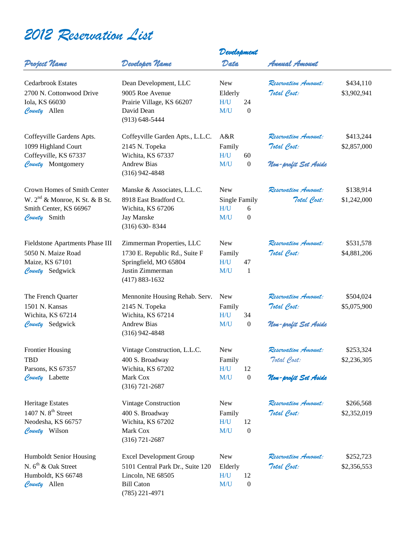## *2012 Reservation List*

|                                            | Developer Name                   | Development          |                        |                      |             |
|--------------------------------------------|----------------------------------|----------------------|------------------------|----------------------|-------------|
| Project Name                               |                                  | Data                 |                        | Annual Amount        |             |
| <b>Cedarbrook Estates</b>                  | Dean Development, LLC            | <b>New</b>           |                        | Reservation Amount:  | \$434,110   |
| 2700 N. Cottonwood Drive                   | 9005 Roe Avenue                  | Elderly              |                        | Total Cost:          | \$3,902,941 |
| Iola, KS 66030                             | Prairie Village, KS 66207        | H/U                  | 24                     |                      |             |
| County Allen                               | David Dean                       | M/U                  | $\boldsymbol{0}$       |                      |             |
|                                            | $(913) 648 - 5444$               |                      |                        |                      |             |
| Coffeyville Gardens Apts.                  | Coffeyville Garden Apts., L.L.C. | A&R                  |                        | Reservation Amount:  | \$413,244   |
| 1099 Highland Court                        | 2145 N. Topeka                   | Family               |                        | Total Cost:          | \$2,857,000 |
| Coffeyville, KS 67337                      | Wichita, KS 67337                | H/U                  | 60                     |                      |             |
| County Montgomery                          | <b>Andrew Bias</b>               | M/U                  | $\boldsymbol{0}$       | Non-profit Set Aside |             |
|                                            | $(316)$ 942-4848                 |                      |                        |                      |             |
| Crown Homes of Smith Center                | Manske & Associates, L.L.C.      | <b>New</b>           |                        | Reservation Amount:  | \$138,914   |
| W. 2 <sup>nd</sup> & Monroe, K St. & B St. | 8918 East Bradford Ct.           | <b>Single Family</b> |                        | Total Cost:          | \$1,242,000 |
| Smith Center, KS 66967                     | Wichita, KS 67206                | H/U                  | 6                      |                      |             |
| County Smith                               | Jay Manske                       | M/U                  | $\boldsymbol{0}$       |                      |             |
|                                            | $(316) 630 - 8344$               |                      |                        |                      |             |
| Fieldstone Apartments Phase III            | Zimmerman Properties, LLC        | <b>New</b>           |                        | Reservation Amount:  | \$531,578   |
| 5050 N. Maize Road                         | 1730 E. Republic Rd., Suite F    | Family               |                        | Total Cost:          | \$4,881,206 |
| Maize, KS 67101                            | Springfield, MO 65804            | H/U                  | 47                     |                      |             |
| County Sedgwick                            | Justin Zimmerman                 | M/U                  | -1                     |                      |             |
|                                            | $(417) 883 - 1632$               |                      |                        |                      |             |
| The French Quarter                         | Mennonite Housing Rehab. Serv.   | <b>New</b>           |                        | Reservation Amount:  | \$504,024   |
| 1501 N. Kansas                             | 2145 N. Topeka                   | Family               |                        | Total Cost:          | \$5,075,900 |
| Wichita, KS 67214                          | Wichita, KS 67214                | H/U                  | 34                     |                      |             |
| County Sedgwick                            | <b>Andrew Bias</b>               | M/U                  | $\boldsymbol{0}$       | Non-profit Set Aside |             |
|                                            | $(316)$ 942-4848                 |                      |                        |                      |             |
| <b>Frontier Housing</b>                    | Vintage Construction, L.L.C.     | New                  |                        | Reservation Amount:  | \$253,324   |
| <b>TBD</b>                                 | 400 S. Broadway                  | Family               |                        | Total Cost:          | \$2,236,305 |
| Parsons, KS 67357                          | Wichita, KS 67202                | H/U                  | 12                     |                      |             |
| County Labette                             | Mark Cox<br>$(316) 721 - 2687$   | M/U                  | $\boldsymbol{0}$       | Non-profit Set Aside |             |
| <b>Heritage Estates</b>                    | <b>Vintage Construction</b>      | <b>New</b>           |                        | Reservation Amount:  | \$266,568   |
| 1407 N. $8th$ Street                       |                                  |                      |                        |                      |             |
|                                            | 400 S. Broadway                  | Family               |                        | Total Cost:          | \$2,352,019 |
| Neodesha, KS 66757<br>County Wilson        | Wichita, KS 67202<br>Mark Cox    | H/U<br>M/U           | 12<br>$\boldsymbol{0}$ |                      |             |
|                                            | $(316) 721 - 2687$               |                      |                        |                      |             |
| Humboldt Senior Housing                    | <b>Excel Development Group</b>   | <b>New</b>           |                        | Reservation Amount:  | \$252,723   |
| N. $6th$ & Oak Street                      | 5101 Central Park Dr., Suite 120 | Elderly              |                        | Total Cost:          | \$2,356,553 |
| Humboldt, KS 66748                         | Lincoln, NE 68505                | H/U                  | 12                     |                      |             |
| County Allen                               | <b>Bill Caton</b>                | M/U                  | $\boldsymbol{0}$       |                      |             |
|                                            | $(785)$ 221-4971                 |                      |                        |                      |             |